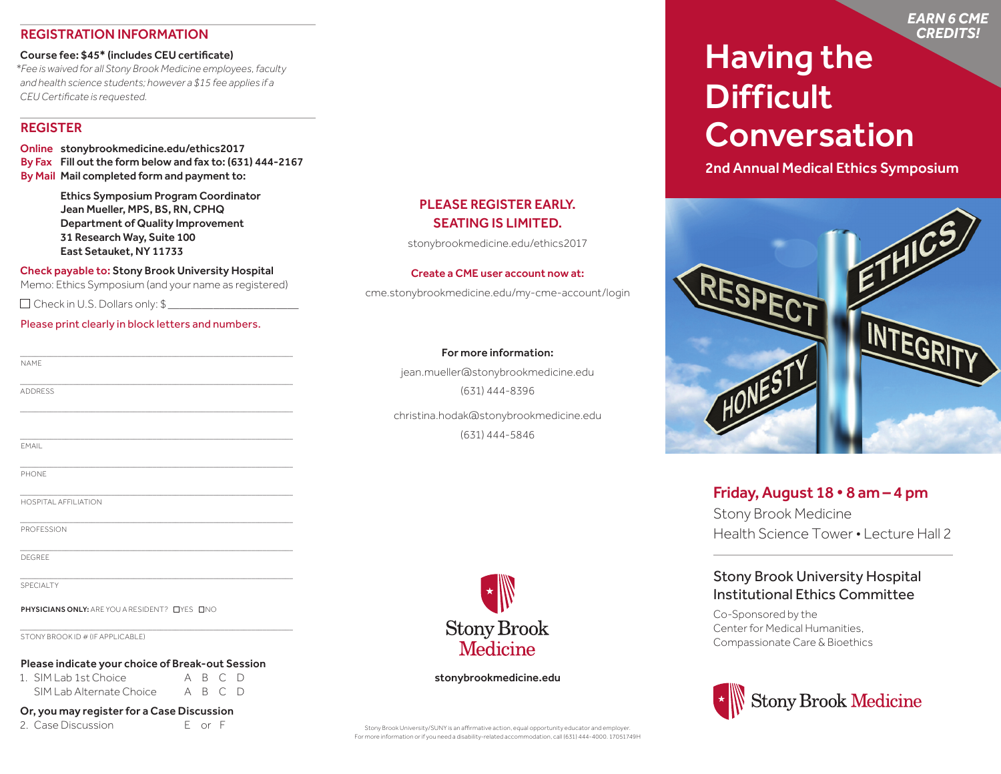# REGISTRATION INFORMATION

#### Course fee: \$45\* (includes CEU certificate)

*\*Fee is waived for all Stony Brook Medicine employees, faculty and health science students; however a \$15 fee applies if a CEU Certificate is requested.*

#### REGISTER

Online stonybrookmedicine.edu/ethics2017 By Fax Fill out the form below and fax to: (631) 444-2167 By Mail Mail completed form and payment to:

> Ethics Symposium Program Coordinator Jean Mueller, MPS, BS, RN, CPHQ Department of Quality Improvement 31 Research Way, Suite 100 East Setauket, NY 11733

Check payable to: Stony Brook University Hospital Memo: Ethics Symposium (and your name as registered)

\_\_\_\_\_\_\_\_\_\_\_\_\_\_\_\_\_\_\_\_\_\_\_\_\_\_\_\_\_\_\_\_\_\_\_\_\_\_\_\_\_\_\_\_\_\_\_\_\_\_\_\_\_\_\_\_\_\_\_\_\_\_\_\_\_\_\_\_\_\_\_\_

\_\_\_\_\_\_\_\_\_\_\_\_\_\_\_\_\_\_\_\_\_\_\_\_\_\_\_\_\_\_\_\_\_\_\_\_\_\_\_\_\_\_\_\_\_\_\_\_\_\_\_\_\_\_\_\_\_\_\_\_\_\_\_\_\_\_\_\_\_\_\_\_

 $\mathcal{L}_\text{max}$  and  $\mathcal{L}_\text{max}$  and  $\mathcal{L}_\text{max}$  and  $\mathcal{L}_\text{max}$  and  $\mathcal{L}_\text{max}$  and  $\mathcal{L}_\text{max}$ 

\_\_\_\_\_\_\_\_\_\_\_\_\_\_\_\_\_\_\_\_\_\_\_\_\_\_\_\_\_\_\_\_\_\_\_\_\_\_\_\_\_\_\_\_\_\_\_\_\_\_\_\_\_\_\_\_\_\_\_\_\_\_\_\_\_\_\_\_\_\_\_\_

\_\_\_\_\_\_\_\_\_\_\_\_\_\_\_\_\_\_\_\_\_\_\_\_\_\_\_\_\_\_\_\_\_\_\_\_\_\_\_\_\_\_\_\_\_\_\_\_\_\_\_\_\_\_\_\_\_\_\_\_\_\_\_\_\_\_\_\_\_\_\_\_

 $\mathcal{L}_\text{max}$  and  $\mathcal{L}_\text{max}$  and  $\mathcal{L}_\text{max}$  and  $\mathcal{L}_\text{max}$  and  $\mathcal{L}_\text{max}$  and  $\mathcal{L}_\text{max}$ 

\_\_\_\_\_\_\_\_\_\_\_\_\_\_\_\_\_\_\_\_\_\_\_\_\_\_\_\_\_\_\_\_\_\_\_\_\_\_\_\_\_\_\_\_\_\_\_\_\_\_\_\_\_\_\_\_\_\_\_\_\_\_\_\_\_\_\_\_\_\_\_\_

 $\mathcal{L}_\text{max}$  and  $\mathcal{L}_\text{max}$  and  $\mathcal{L}_\text{max}$  and  $\mathcal{L}_\text{max}$  and  $\mathcal{L}_\text{max}$  and  $\mathcal{L}_\text{max}$ 

 $\Box$  Check in U.S. Dollars only:  $\$\_\_$ 

#### Please print clearly in block letters and numbers.

|--|

ADDRESS

\_\_\_\_\_\_\_\_\_\_\_\_\_\_\_\_\_\_\_\_\_\_\_\_\_\_\_\_\_\_\_\_\_\_\_\_\_\_\_\_\_\_\_\_\_\_\_\_\_\_\_\_\_\_\_\_\_\_\_\_\_\_\_\_\_\_\_\_\_\_\_\_ EMAIL

 $\mathcal{L}_\text{max}$  and  $\mathcal{L}_\text{max}$  and  $\mathcal{L}_\text{max}$  and  $\mathcal{L}_\text{max}$  and  $\mathcal{L}_\text{max}$  and  $\mathcal{L}_\text{max}$ PHONE

HOSPITAL AFFILIATION

PROFESSION

DEGREE

SPECIAL TY

PHYSICIANS ONLY: ARE YOU A RESIDENT? LYES LINO

STONY BROOK ID # (IF APPLICABLE)

#### Please indicate your choice of Break-out Session

1. SIM Lab 1st Choice A B C D SIM Lab Alternate Choice A B C D

#### Or, you may register for a Case Discussion

2. Case Discussion E or F

# PLEASE REGISTER EARLY. SEATING IS LIMITED.

stonybrookmedicine.edu/ethics2017

#### Create a CME user account now at:

cme.stonybrookmedicine.edu/my-cme-account/login

#### For more information:

jean.mueller@stonybrookmedicine.edu (631) 444-8396

christina.hodak@stonybrookmedicine.edu (631) 444-5846



#### stonybrookmedicine.edu

Stony Brook University/SUNY is an affirmative action, equal opportunity educator and employer. For more information or if you need a disability-related accommodation, call (631) 444-4000. 17051749H

# Having the **Difficult Conversation**

2nd Annual Medical Ethics Symposium



# Friday, August 18 • 8 am – 4 pm

Stony Brook Medicine Health Science Tower • Lecture Hall 2

# Stony Brook University Hospital Institutional Ethics Committee

Co-Sponsored by the Center for Medical Humanities, Compassionate Care & Bioethics



*EARN 6 CME CREDITS!*